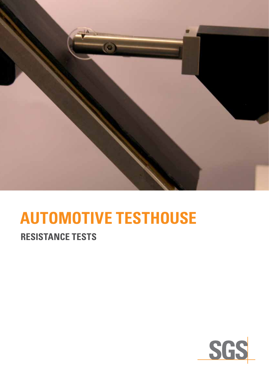

# **Automotive Testhouse**

## **resistance Tests**